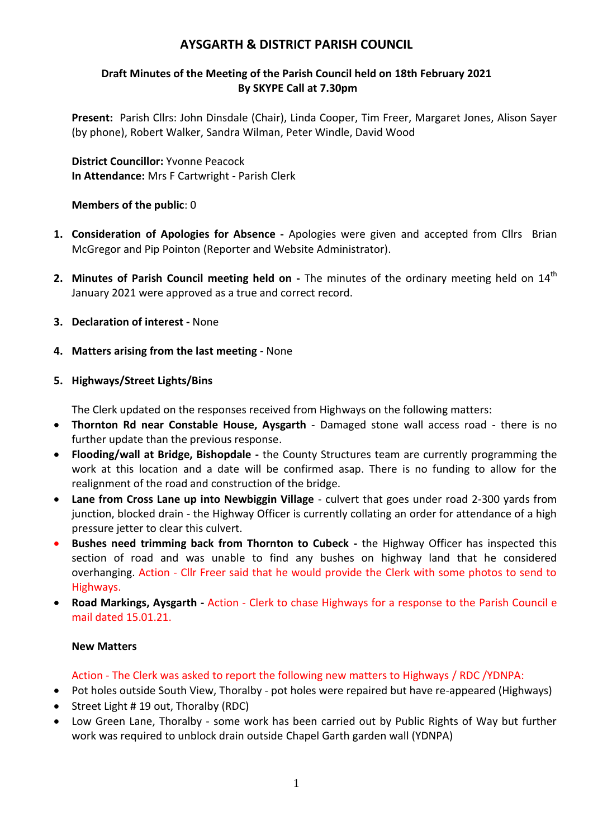# **AYSGARTH & DISTRICT PARISH COUNCIL**

## **Draft Minutes of the Meeting of the Parish Council held on 18th February 2021 By SKYPE Call at 7.30pm**

**Present:** Parish Cllrs: John Dinsdale (Chair), Linda Cooper, Tim Freer, Margaret Jones, Alison Sayer (by phone), Robert Walker, Sandra Wilman, Peter Windle, David Wood

**District Councillor:** Yvonne Peacock **In Attendance:** Mrs F Cartwright - Parish Clerk

### **Members of the public**: 0

- **1. Consideration of Apologies for Absence -** Apologies were given and accepted from Cllrs Brian McGregor and Pip Pointon (Reporter and Website Administrator).
- **2. Minutes of Parish Council meeting held on -** The minutes of the ordinary meeting held on 14<sup>th</sup> January 2021 were approved as a true and correct record.
- **3. Declaration of interest -** None
- **4. Matters arising from the last meeting** None

### **5. Highways/Street Lights/Bins**

The Clerk updated on the responses received from Highways on the following matters:

- **Thornton Rd near Constable House, Aysgarth** Damaged stone wall access road there is no further update than the previous response.
- **Flooding/wall at Bridge, Bishopdale -** the County Structures team are currently programming the work at this location and a date will be confirmed asap. There is no funding to allow for the realignment of the road and construction of the bridge.
- **Lane from Cross Lane up into Newbiggin Village** culvert that goes under road 2-300 yards from junction, blocked drain - the Highway Officer is currently collating an order for attendance of a high pressure jetter to clear this culvert.
- **Bushes need trimming back from Thornton to Cubeck -** the Highway Officer has inspected this section of road and was unable to find any bushes on highway land that he considered overhanging. Action - Cllr Freer said that he would provide the Clerk with some photos to send to Highways.
- **Road Markings, Aysgarth -** Action Clerk to chase Highways for a response to the Parish Council e mail dated 15.01.21.

### **New Matters**

## Action - The Clerk was asked to report the following new matters to Highways / RDC /YDNPA:

- Pot holes outside South View, Thoralby pot holes were repaired but have re-appeared (Highways)
- Street Light # 19 out, Thoralby (RDC)
- Low Green Lane, Thoralby some work has been carried out by Public Rights of Way but further work was required to unblock drain outside Chapel Garth garden wall (YDNPA)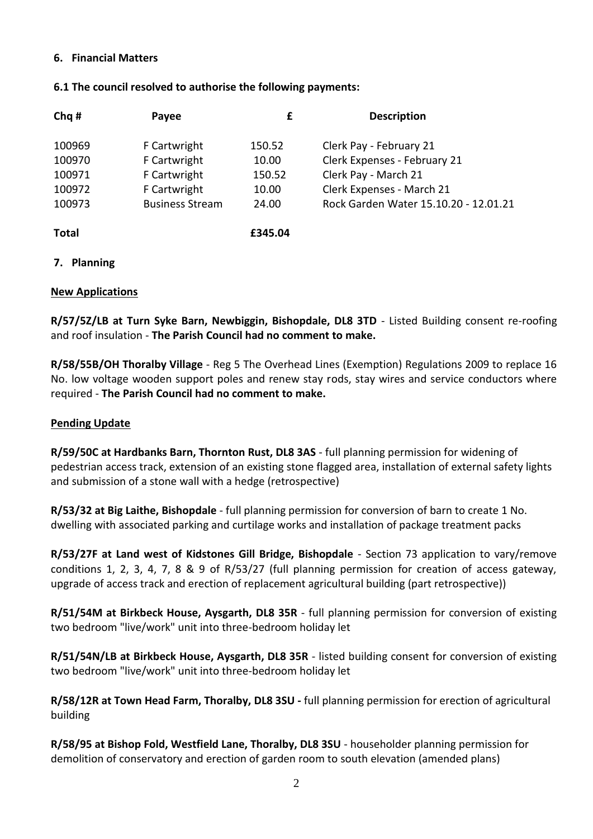### **6. Financial Matters**

### **6.1 The council resolved to authorise the following payments:**

| Chq #        | Payee                  | £       | <b>Description</b>                    |
|--------------|------------------------|---------|---------------------------------------|
| 100969       | F Cartwright           | 150.52  | Clerk Pay - February 21               |
| 100970       | F Cartwright           | 10.00   | Clerk Expenses - February 21          |
| 100971       | F Cartwright           | 150.52  | Clerk Pay - March 21                  |
| 100972       | F Cartwright           | 10.00   | Clerk Expenses - March 21             |
| 100973       | <b>Business Stream</b> | 24.00   | Rock Garden Water 15.10.20 - 12.01.21 |
| <b>Total</b> |                        | £345.04 |                                       |

### **7. Planning**

### **New Applications**

**R/57/5Z/LB at Turn Syke Barn, Newbiggin, Bishopdale, DL8 3TD** - Listed Building consent re-roofing and roof insulation - **The Parish Council had no comment to make.**

**R/58/55B/OH Thoralby Village** - Reg 5 The Overhead Lines (Exemption) Regulations 2009 to replace 16 No. low voltage wooden support poles and renew stay rods, stay wires and service conductors where required - **The Parish Council had no comment to make.**

### **Pending Update**

**R/59/50C at Hardbanks Barn, Thornton Rust, DL8 3AS** - full planning permission for widening of pedestrian access track, extension of an existing stone flagged area, installation of external safety lights and submission of a stone wall with a hedge (retrospective)

**R/53/32 at Big Laithe, Bishopdale** - full planning permission for conversion of barn to create 1 No. dwelling with associated parking and curtilage works and installation of package treatment packs

**R/53/27F at Land west of Kidstones Gill Bridge, Bishopdale** - Section 73 application to vary/remove conditions 1, 2, 3, 4, 7, 8 & 9 of R/53/27 (full planning permission for creation of access gateway, upgrade of access track and erection of replacement agricultural building (part retrospective))

**R/51/54M at Birkbeck House, Aysgarth, DL8 35R** - full planning permission for conversion of existing two bedroom "live/work" unit into three-bedroom holiday let

**R/51/54N/LB at Birkbeck House, Aysgarth, DL8 35R** - listed building consent for conversion of existing two bedroom "live/work" unit into three-bedroom holiday let

**R/58/12R at Town Head Farm, Thoralby, DL8 3SU -** full planning permission for erection of agricultural building

**R/58/95 at Bishop Fold, Westfield Lane, Thoralby, DL8 3SU** - householder planning permission for demolition of conservatory and erection of garden room to south elevation (amended plans)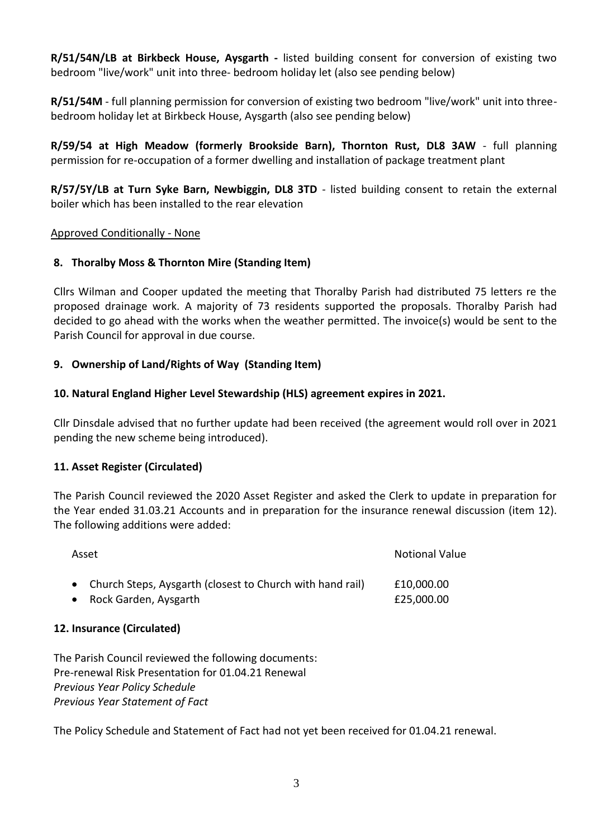**R/51/54N/LB at Birkbeck House, Aysgarth -** listed building consent for conversion of existing two bedroom "live/work" unit into three- bedroom holiday let (also see pending below)

**R/51/54M** - full planning permission for conversion of existing two bedroom "live/work" unit into threebedroom holiday let at Birkbeck House, Aysgarth (also see pending below)

**R/59/54 at High Meadow (formerly Brookside Barn), Thornton Rust, DL8 3AW** - full planning permission for re-occupation of a former dwelling and installation of package treatment plant

**R/57/5Y/LB at Turn Syke Barn, Newbiggin, DL8 3TD** - listed building consent to retain the external boiler which has been installed to the rear elevation

## Approved Conditionally - None

## **8. Thoralby Moss & Thornton Mire (Standing Item)**

Cllrs Wilman and Cooper updated the meeting that Thoralby Parish had distributed 75 letters re the proposed drainage work. A majority of 73 residents supported the proposals. Thoralby Parish had decided to go ahead with the works when the weather permitted. The invoice(s) would be sent to the Parish Council for approval in due course.

## **9. Ownership of Land/Rights of Way (Standing Item)**

### **10. Natural England Higher Level Stewardship (HLS) agreement expires in 2021.**

Cllr Dinsdale advised that no further update had been received (the agreement would roll over in 2021 pending the new scheme being introduced).

### **11. Asset Register (Circulated)**

The Parish Council reviewed the 2020 Asset Register and asked the Clerk to update in preparation for the Year ended 31.03.21 Accounts and in preparation for the insurance renewal discussion (item 12). The following additions were added:

| Asset                                                       | <b>Notional Value</b> |
|-------------------------------------------------------------|-----------------------|
| • Church Steps, Aysgarth (closest to Church with hand rail) | £10,000.00            |
| Rock Garden, Aysgarth                                       | £25,000.00            |

### **12. Insurance (Circulated)**

The Parish Council reviewed the following documents: Pre-renewal Risk Presentation for 01.04.21 Renewal *Previous Year Policy Schedule Previous Year Statement of Fact*

The Policy Schedule and Statement of Fact had not yet been received for 01.04.21 renewal.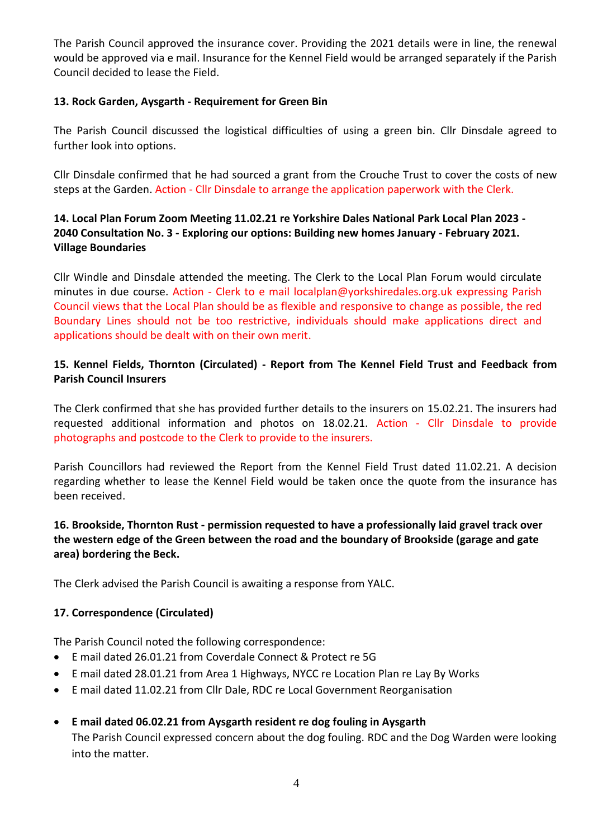The Parish Council approved the insurance cover. Providing the 2021 details were in line, the renewal would be approved via e mail. Insurance for the Kennel Field would be arranged separately if the Parish Council decided to lease the Field.

## **13. Rock Garden, Aysgarth - Requirement for Green Bin**

The Parish Council discussed the logistical difficulties of using a green bin. Cllr Dinsdale agreed to further look into options.

Cllr Dinsdale confirmed that he had sourced a grant from the Crouche Trust to cover the costs of new steps at the Garden. Action - Cllr Dinsdale to arrange the application paperwork with the Clerk.

# **14. Local Plan Forum Zoom Meeting 11.02.21 re Yorkshire Dales National Park Local Plan 2023 - 2040 Consultation No. 3 - Exploring our options: Building new homes January - February 2021. Village Boundaries**

Cllr Windle and Dinsdale attended the meeting. The Clerk to the Local Plan Forum would circulate minutes in due course. Action - Clerk to e mail localplan@yorkshiredales.org.uk expressing Parish Council views that the Local Plan should be as flexible and responsive to change as possible, the red Boundary Lines should not be too restrictive, individuals should make applications direct and applications should be dealt with on their own merit.

# **15. Kennel Fields, Thornton (Circulated) - Report from The Kennel Field Trust and Feedback from Parish Council Insurers**

The Clerk confirmed that she has provided further details to the insurers on 15.02.21. The insurers had requested additional information and photos on 18.02.21. Action - Cllr Dinsdale to provide photographs and postcode to the Clerk to provide to the insurers.

Parish Councillors had reviewed the Report from the Kennel Field Trust dated 11.02.21. A decision regarding whether to lease the Kennel Field would be taken once the quote from the insurance has been received.

# **16. Brookside, Thornton Rust - permission requested to have a professionally laid gravel track over the western edge of the Green between the road and the boundary of Brookside (garage and gate area) bordering the Beck.**

The Clerk advised the Parish Council is awaiting a response from YALC.

## **17. Correspondence (Circulated)**

The Parish Council noted the following correspondence:

- E mail dated 26.01.21 from Coverdale Connect & Protect re 5G
- E mail dated 28.01.21 from Area 1 Highways, NYCC re Location Plan re Lay By Works
- E mail dated 11.02.21 from Cllr Dale, RDC re Local Government Reorganisation

### **E mail dated 06.02.21 from Aysgarth resident re dog fouling in Aysgarth**

The Parish Council expressed concern about the dog fouling. RDC and the Dog Warden were looking into the matter.